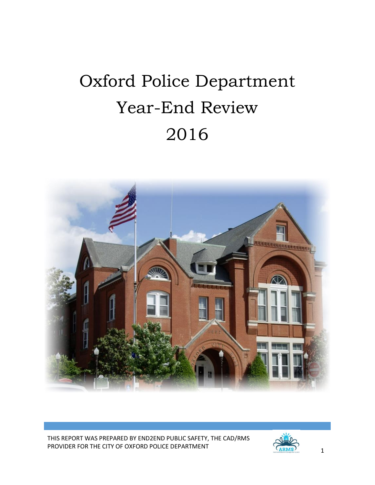# Oxford Police Department Year-End Review 2016



THIS REPORT WAS PREPARED BY END2END PUBLIC SAFETY, THE CAD/RMS PROVIDER FOR THE CITY OF OXFORD POLICE DEPARTMENT  $\overbrace{A \text{RMS}}$  1

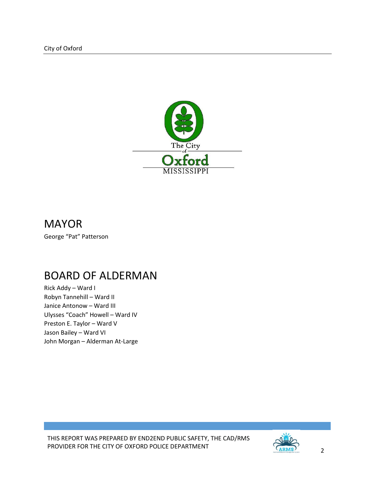

# MAYOR

George "Pat" Patterson

# BOARD OF ALDERMAN

Rick Addy – Ward I Robyn Tannehill – Ward II Janice Antonow – Ward III Ulysses "Coach" Howell – Ward IV Preston E. Taylor – Ward V Jason Bailey – Ward VI John Morgan – Alderman At-Large

THIS REPORT WAS PREPARED BY END2END PUBLIC SAFETY, THE CAD/RMS PROVIDER FOR THE CITY OF OXFORD POLICE DEPARTMENT **CARMED** 

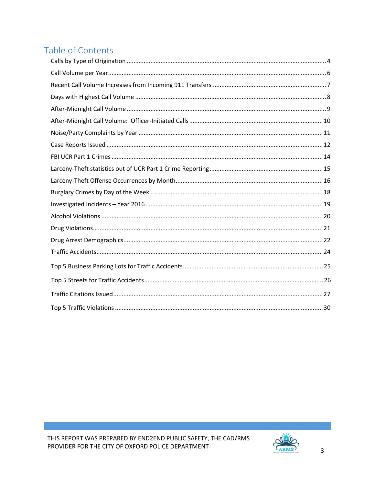# Table of Contents

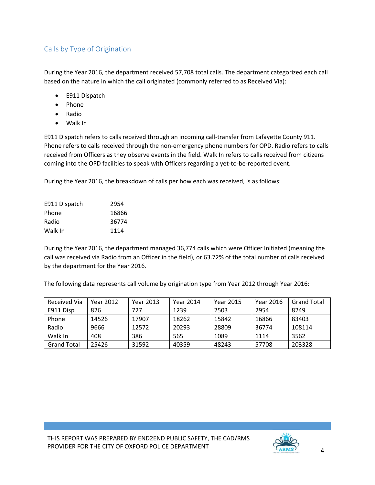#### <span id="page-3-0"></span>Calls by Type of Origination

During the Year 2016, the department received 57,708 total calls. The department categorized each call based on the nature in which the call originated (commonly referred to as Received Via):

- E911 Dispatch
- Phone
- Radio
- Walk In

E911 Dispatch refers to calls received through an incoming call-transfer from Lafayette County 911. Phone refers to calls received through the non-emergency phone numbers for OPD. Radio refers to calls received from Officers as they observe events in the field. Walk In refers to calls received from citizens coming into the OPD facilities to speak with Officers regarding a yet-to-be-reported event.

During the Year 2016, the breakdown of calls per how each was received, is as follows:

| E911 Dispatch | 2954  |
|---------------|-------|
| Phone         | 16866 |
| Radio         | 36774 |
| Walk In       | 1114  |

During the Year 2016, the department managed 36,774 calls which were Officer Initiated (meaning the call was received via Radio from an Officer in the field), or 63.72% of the total number of calls received by the department for the Year 2016.

The following data represents call volume by origination type from Year 2012 through Year 2016:

| Received Via       | Year 2012 | <b>Year 2013</b> | Year 2014 | Year 2015 | Year 2016 | <b>Grand Total</b> |
|--------------------|-----------|------------------|-----------|-----------|-----------|--------------------|
| E911 Disp          | 826       | 727              | 1239      | 2503      | 2954      | 8249               |
| Phone              | 14526     | 17907            | 18262     | 15842     | 16866     | 83403              |
| Radio              | 9666      | 12572            | 20293     | 28809     | 36774     | 108114             |
| Walk In            | 408       | 386              | 565       | 1089      | 1114      | 3562               |
| <b>Grand Total</b> | 25426     | 31592            | 40359     | 48243     | 57708     | 203328             |

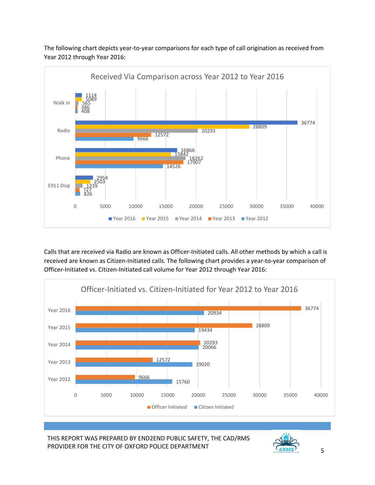

The following chart depicts year-to-year comparisons for each type of call origination as received from Year 2012 through Year 2016:

Calls that are received via Radio are known as Officer-Initiated calls. All other methods by which a call is received are known as Citizen-Initiated calls. The following chart provides a year-to-year comparison of Officer-Initiated vs. Citizen-Initiated call volume for Year 2012 through Year 2016:



THIS REPORT WAS PREPARED BY END2END PUBLIC SAFETY, THE CAD/RMS PROVIDER FOR THE CITY OF OXFORD POLICE DEPARTMENT **FOR ALL ARMS** 5

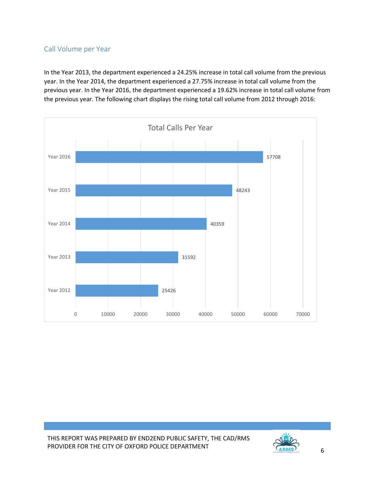#### <span id="page-5-0"></span>Call Volume per Year

In the Year 2013, the department experienced a 24.25% increase in total call volume from the previous year. In the Year 2014, the department experienced a 27.75% increase in total call volume from the previous year. In the Year 2016, the department experienced a 19.62% increase in total call volume from the previous year. The following chart displays the rising total call volume from 2012 through 2016:



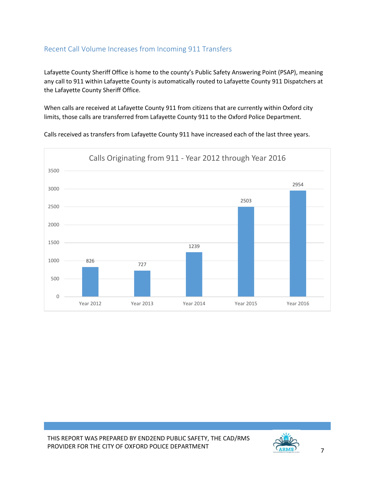#### <span id="page-6-0"></span>Recent Call Volume Increases from Incoming 911 Transfers

Lafayette County Sheriff Office is home to the county's Public Safety Answering Point (PSAP), meaning any call to 911 within Lafayette County is automatically routed to Lafayette County 911 Dispatchers at the Lafayette County Sheriff Office.

When calls are received at Lafayette County 911 from citizens that are currently within Oxford city limits, those calls are transferred from Lafayette County 911 to the Oxford Police Department.

Calls received as transfers from Lafayette County 911 have increased each of the last three years.



THIS REPORT WAS PREPARED BY END2END PUBLIC SAFETY, THE CAD/RMS PROVIDER FOR THE CITY OF OXFORD POLICE DEPARTMENT **FOR ALL CARMS** 7

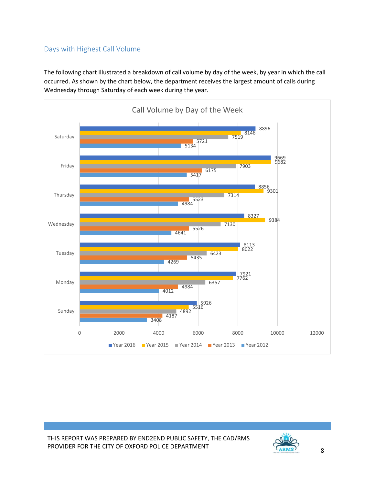## <span id="page-7-0"></span>Days with Highest Call Volume

The following chart illustrated a breakdown of call volume by day of the week, by year in which the call occurred. As shown by the chart below, the department receives the largest amount of calls during Wednesday through Saturday of each week during the year.



THIS REPORT WAS PREPARED BY END2END PUBLIC SAFETY, THE CAD/RMS PROVIDER FOR THE CITY OF OXFORD POLICE DEPARTMENT **FOR ALL ARMS** 8

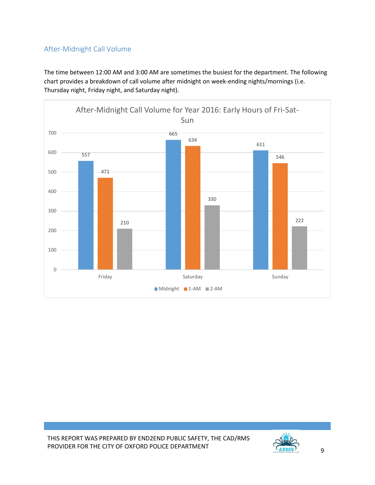## <span id="page-8-0"></span>After-Midnight Call Volume

The time between 12:00 AM and 3:00 AM are sometimes the busiest for the department. The following chart provides a breakdown of call volume after midnight on week-ending nights/mornings (i.e. Thursday night, Friday night, and Saturday night).



THIS REPORT WAS PREPARED BY END2END PUBLIC SAFETY, THE CAD/RMS PROVIDER FOR THE CITY OF OXFORD POLICE DEPARTMENT **FOR ALL ARMS** 9

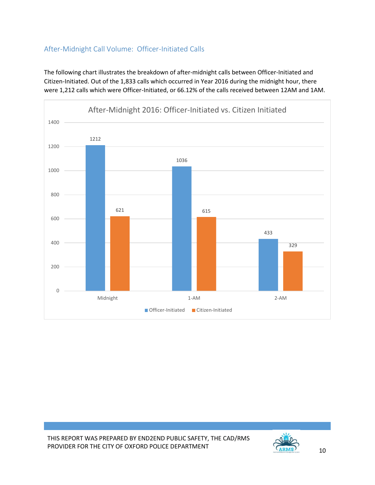# <span id="page-9-0"></span>After-Midnight Call Volume: Officer-Initiated Calls

The following chart illustrates the breakdown of after-midnight calls between Officer-Initiated and Citizen-Initiated. Out of the 1,833 calls which occurred in Year 2016 during the midnight hour, there were 1,212 calls which were Officer-Initiated, or 66.12% of the calls received between 12AM and 1AM.



THIS REPORT WAS PREPARED BY END2END PUBLIC SAFETY, THE CAD/RMS PROVIDER FOR THE CITY OF OXFORD POLICE DEPARTMENT THE CONSTRUCTION OF A RAME TO THE CARD OF THE CONSTRUCTION OF  $\frac{10}{10}$ 

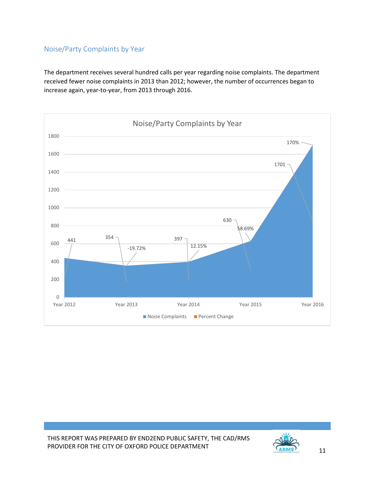#### <span id="page-10-0"></span>Noise/Party Complaints by Year

The department receives several hundred calls per year regarding noise complaints. The department received fewer noise complaints in 2013 than 2012; however, the number of occurrences began to increase again, year-to-year, from 2013 through 2016.



THIS REPORT WAS PREPARED BY END2END PUBLIC SAFETY, THE CAD/RMS PROVIDER FOR THE CITY OF OXFORD POLICE DEPARTMENT THE CONSTRUCTION OF A SAME TO THE CARMED THE THREE CONSTRUCTION OF THE CONSTRUCTION OF THE CONSTRUCTION OF THE CONSTRUCTION OF THE CONSTRUCTION OF THE CONSTRUCTION OF THE C

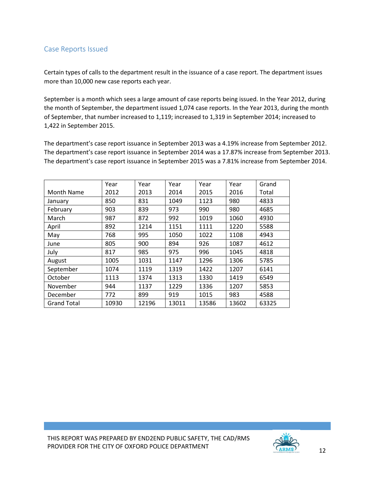#### <span id="page-11-0"></span>Case Reports Issued

Certain types of calls to the department result in the issuance of a case report. The department issues more than 10,000 new case reports each year.

September is a month which sees a large amount of case reports being issued. In the Year 2012, during the month of September, the department issued 1,074 case reports. In the Year 2013, during the month of September, that number increased to 1,119; increased to 1,319 in September 2014; increased to 1,422 in September 2015.

The department's case report issuance in September 2013 was a 4.19% increase from September 2012. The department's case report issuance in September 2014 was a 17.87% increase from September 2013. The department's case report issuance in September 2015 was a 7.81% increase from September 2014.

|                    | Year  | Year  | Year  | Year  | Year  | Grand |
|--------------------|-------|-------|-------|-------|-------|-------|
| Month Name         | 2012  | 2013  | 2014  | 2015  | 2016  | Total |
| January            | 850   | 831   | 1049  | 1123  | 980   | 4833  |
| February           | 903   | 839   | 973   | 990   | 980   | 4685  |
| March              | 987   | 872   | 992   | 1019  | 1060  | 4930  |
| April              | 892   | 1214  | 1151  | 1111  | 1220  | 5588  |
| May                | 768   | 995   | 1050  | 1022  | 1108  | 4943  |
| June               | 805   | 900   | 894   | 926   | 1087  | 4612  |
| July               | 817   | 985   | 975   | 996   | 1045  | 4818  |
| August             | 1005  | 1031  | 1147  | 1296  | 1306  | 5785  |
| September          | 1074  | 1119  | 1319  | 1422  | 1207  | 6141  |
| October            | 1113  | 1374  | 1313  | 1330  | 1419  | 6549  |
| November           | 944   | 1137  | 1229  | 1336  | 1207  | 5853  |
| December           | 772   | 899   | 919   | 1015  | 983   | 4588  |
| <b>Grand Total</b> | 10930 | 12196 | 13011 | 13586 | 13602 | 63325 |

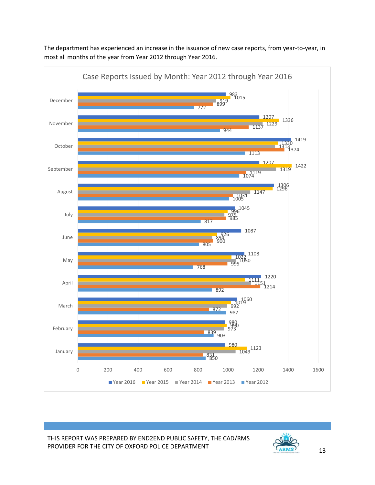

The department has experienced an increase in the issuance of new case reports, from year-to-year, in most all months of the year from Year 2012 through Year 2016.

THIS REPORT WAS PREPARED BY END2END PUBLIC SAFETY, THE CAD/RMS PROVIDER FOR THE CITY OF OXFORD POLICE DEPARTMENT THE STATISTIC RANGER AT 13

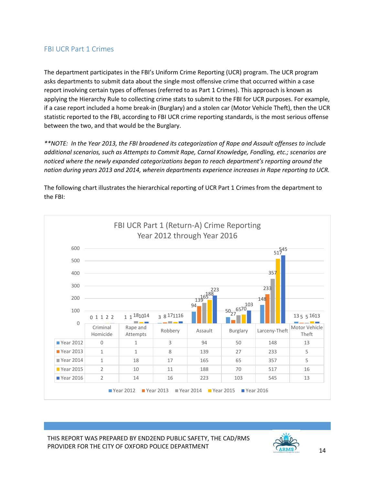#### <span id="page-13-0"></span>FBI UCR Part 1 Crimes

The department participates in the FBI's Uniform Crime Reporting (UCR) program. The UCR program asks departments to submit data about the single most offensive crime that occurred within a case report involving certain types of offenses (referred to as Part 1 Crimes). This approach is known as applying the Hierarchy Rule to collecting crime stats to submit to the FBI for UCR purposes. For example, if a case report included a home break-in (Burglary) and a stolen car (Motor Vehicle Theft), then the UCR statistic reported to the FBI, according to FBI UCR crime reporting standards, is the most serious offense between the two, and that would be the Burglary.

*\*\*NOTE: In the Year 2013, the FBI broadened its categorization of Rape and Assault offenses to include additional scenarios, such as Attempts to Commit Rape, Carnal Knowledge, Fondling, etc.; scenarios are noticed where the newly expanded categorizations began to reach department's reporting around the nation during years 2013 and 2014, wherein departments experience increases in Rape reporting to UCR.*

FBI UCR Part 1 (Return-A) Crime Reporting Year 2012 through Year 2016 600 517 545 500 400 357 300 233 ววว 139<sup>65</sup> 200 148 103 94 65 70 100 50 27 3 8 17 11 16 0 1 3 13 1 1 8 1 5 18 17 2 10 11 5 16 2 13 5 5 1613 0 a ma Criminal Rape and Rape and Robbery Assault Burglary Larceny-Theft Motor Vehicle Homicide Theft Year 2012 | 0 | 1 | 3 | 94 | 50 | 148 | 13 Year 2013 | 1 | 1 | 8 | 139 | 27 | 233 | 5 Year 2014 | 1 | 18 | 17 | 165 | 65 | 357 | 5 Year 2015 2 10 11 188 70 517 16 Year 2016 | 2 | 14 | 16 | 223 | 103 | 545 | 13 ■ Year 2012 ■ Year 2013 ■ Year 2014 ■ Year 2015 ■ Year 2016

The following chart illustrates the hierarchical reporting of UCR Part 1 Crimes from the department to the FBI:

THIS REPORT WAS PREPARED BY END2END PUBLIC SAFETY, THE CAD/RMS PROVIDER FOR THE CITY OF OXFORD POLICE DEPARTMENT THE STATISTIC RANGEMENT THAT A RANGEMENT THAT A RANGEMENT OF DETAIL OF DEPARTMENT THAT A RANGEMENT OF DETAILS AND MALL ASSESS TO A RANGEMENT OF DETAILS AND MALL ASSESS TO A

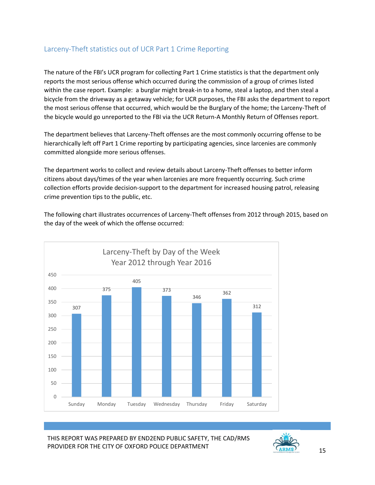#### <span id="page-14-0"></span>Larceny-Theft statistics out of UCR Part 1 Crime Reporting

The nature of the FBI's UCR program for collecting Part 1 Crime statistics is that the department only reports the most serious offense which occurred during the commission of a group of crimes listed within the case report. Example: a burglar might break-in to a home, steal a laptop, and then steal a bicycle from the driveway as a getaway vehicle; for UCR purposes, the FBI asks the department to report the most serious offense that occurred, which would be the Burglary of the home; the Larceny-Theft of the bicycle would go unreported to the FBI via the UCR Return-A Monthly Return of Offenses report.

The department believes that Larceny-Theft offenses are the most commonly occurring offense to be hierarchically left off Part 1 Crime reporting by participating agencies, since larcenies are commonly committed alongside more serious offenses.

The department works to collect and review details about Larceny-Theft offenses to better inform citizens about days/times of the year when larcenies are more frequently occurring. Such crime collection efforts provide decision-support to the department for increased housing patrol, releasing crime prevention tips to the public, etc.

The following chart illustrates occurrences of Larceny-Theft offenses from 2012 through 2015, based on the day of the week of which the offense occurred:



THIS REPORT WAS PREPARED BY END2END PUBLIC SAFETY, THE CAD/RMS PROVIDER FOR THE CITY OF OXFORD POLICE DEPARTMENT THE STATISTIC RANGEMENT TO THE CARMS 2 15

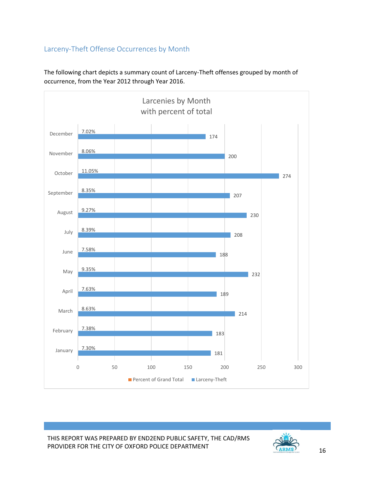# <span id="page-15-0"></span>Larceny-Theft Offense Occurrences by Month



The following chart depicts a summary count of Larceny-Theft offenses grouped by month of occurrence, from the Year 2012 through Year 2016.

THIS REPORT WAS PREPARED BY END2END PUBLIC SAFETY, THE CAD/RMS PROVIDER FOR THE CITY OF OXFORD POLICE DEPARTMENT THE STATISTIC RANGER AND THE CARMED

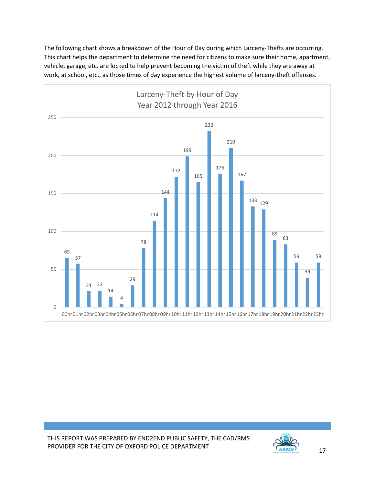The following chart shows a breakdown of the Hour of Day during which Larceny-Thefts are occurring. This chart helps the department to determine the need for citizens to make sure their home, apartment, vehicle, garage, etc. are locked to help prevent becoming the victim of theft while they are away at work, at school, etc., as those times of day experience the highest volume of larceny-theft offenses.



THIS REPORT WAS PREPARED BY END2END PUBLIC SAFETY, THE CAD/RMS PROVIDER FOR THE CITY OF OXFORD POLICE DEPARTMENT THE CONSTRUCTION OF A STATE OF A STATE OF THE STATE OF THE ST

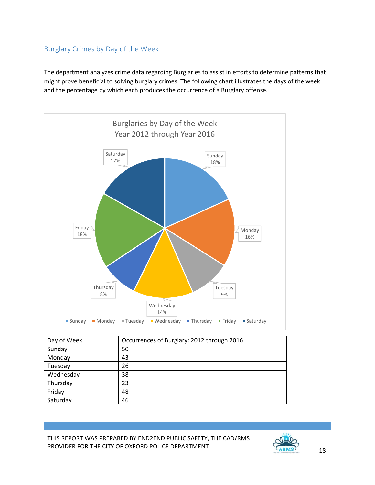#### <span id="page-17-0"></span>Burglary Crimes by Day of the Week

The department analyzes crime data regarding Burglaries to assist in efforts to determine patterns that might prove beneficial to solving burglary crimes. The following chart illustrates the days of the week and the percentage by which each produces the occurrence of a Burglary offense.



| Day of Week | Occurrences of Burglary: 2012 through 2016 |
|-------------|--------------------------------------------|
| Sunday      | 50                                         |
| Monday      | 43                                         |
| Tuesday     | 26                                         |
| Wednesday   | 38                                         |
| Thursday    | 23                                         |
| Friday      | 48                                         |
| Saturday    | 46                                         |

THIS REPORT WAS PREPARED BY END2END PUBLIC SAFETY, THE CAD/RMS PROVIDER FOR THE CITY OF OXFORD POLICE DEPARTMENT THE STATISTIC RANGER AND THE CARMED 18

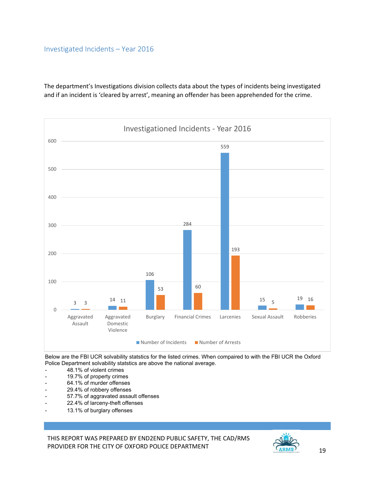#### <span id="page-18-0"></span>Investigated Incidents – Year 2016

The department's Investigations division collects data about the types of incidents being investigated and if an incident is 'cleared by arrest', meaning an offender has been apprehended for the crime.



Below are the FBI UCR solvability statstics for the listed crimes. When compaired to with the FBI UCR the Oxford Police Department solvability statstics are above the national average.

- 48.1% of violent crimes
- 19.7% of property crimes
- 64.1% of murder offenses
- 29.4% of robbery offenses
- 57.7% of aggravated assault offenses
- 22.4% of larceny-theft offenses
- 13.1% of burglary offenses

THIS REPORT WAS PREPARED BY END2END PUBLIC SAFETY, THE CAD/RMS PROVIDER FOR THE CITY OF OXFORD POLICE DEPARTMENT THE CONSTRUCTION OF A SUBSEX 19

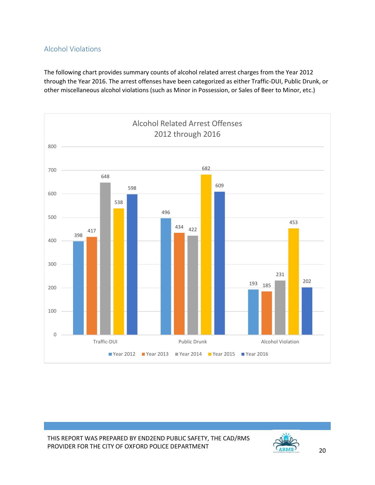## <span id="page-19-0"></span>Alcohol Violations

The following chart provides summary counts of alcohol related arrest charges from the Year 2012 through the Year 2016. The arrest offenses have been categorized as either Traffic-DUI, Public Drunk, or other miscellaneous alcohol violations (such as Minor in Possession, or Sales of Beer to Minor, etc.)



THIS REPORT WAS PREPARED BY END2END PUBLIC SAFETY, THE CAD/RMS PROVIDER FOR THE CITY OF OXFORD POLICE DEPARTMENT **CARMENT** 20

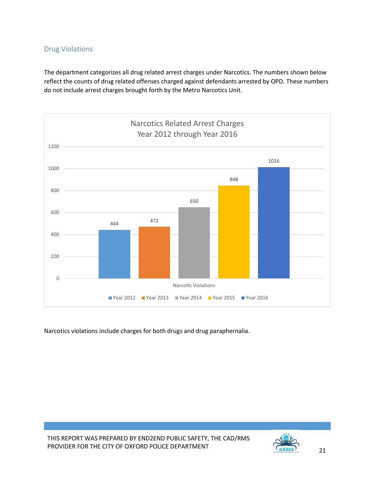#### <span id="page-20-0"></span>Drug Violations

The department categorizes all drug related arrest charges under Narcotics. The numbers shown below reflect the counts of drug related offenses charged against defendants arrested by OPD. These numbers do not include arrest charges brought forth by the Metro Narcotics Unit.



Narcotics violations include charges for both drugs and drug paraphernalia.

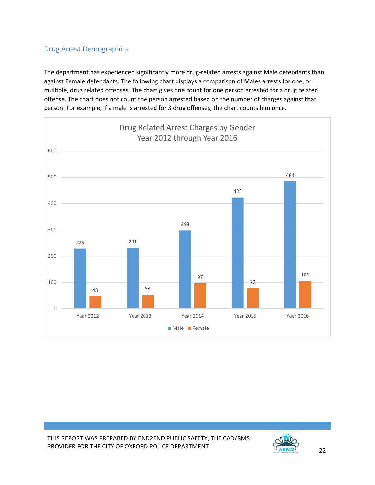#### <span id="page-21-0"></span>Drug Arrest Demographics

The department has experienced significantly more drug-related arrests against Male defendants than against Female defendants. The following chart displays a comparison of Males arrests for one, or multiple, drug related offenses. The chart gives one count for one person arrested for a drug related offense. The chart does not count the person arrested based on the number of charges against that person. For example, if a male is arrested for 3 drug offenses, the chart counts him once.



THIS REPORT WAS PREPARED BY END2END PUBLIC SAFETY, THE CAD/RMS PROVIDER FOR THE CITY OF OXFORD POLICE DEPARTMENT **CARMED** 

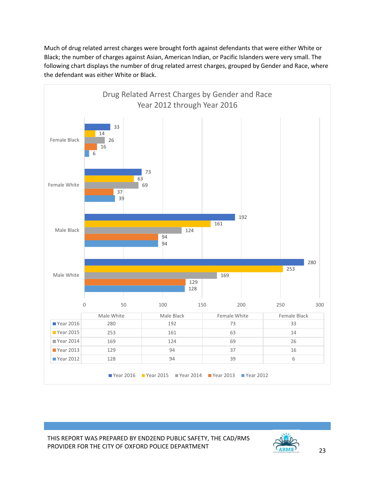Much of drug related arrest charges were brought forth against defendants that were either White or Black; the number of charges against Asian, American Indian, or Pacific Islanders were very small. The following chart displays the number of drug related arrest charges, grouped by Gender and Race, where the defendant was either White or Black.



THIS REPORT WAS PREPARED BY END2END PUBLIC SAFETY, THE CAD/RMS PROVIDER FOR THE CITY OF OXFORD POLICE DEPARTMENT **CARMS** 23

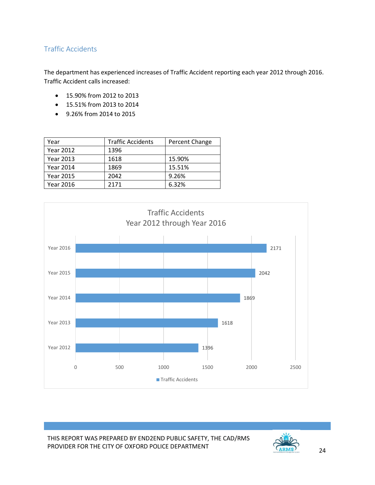#### <span id="page-24-0"></span>Traffic Accidents

The department has experienced increases of Traffic Accident reporting each year 2012 through 2016. Traffic Accident calls increased:

- 15.90% from 2012 to 2013
- 15.51% from 2013 to 2014
- 9.26% from 2014 to 2015

| Year             | <b>Traffic Accidents</b> | Percent Change |
|------------------|--------------------------|----------------|
| <b>Year 2012</b> | 1396                     |                |
| <b>Year 2013</b> | 1618                     | 15.90%         |
| <b>Year 2014</b> | 1869                     | 15.51%         |
| <b>Year 2015</b> | 2042                     | 9.26%          |
| Year 2016        | 2171                     | 6.32%          |



THIS REPORT WAS PREPARED BY END2END PUBLIC SAFETY, THE CAD/RMS PROVIDER FOR THE CITY OF OXFORD POLICE DEPARTMENT THE CONSTRUCTION OF A RAME CARMED 24

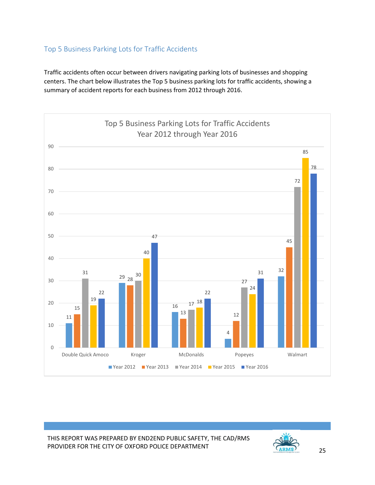### <span id="page-25-0"></span>Top 5 Business Parking Lots for Traffic Accidents

Traffic accidents often occur between drivers navigating parking lots of businesses and shopping centers. The chart below illustrates the Top 5 business parking lots for traffic accidents, showing a summary of accident reports for each business from 2012 through 2016.



THIS REPORT WAS PREPARED BY END2END PUBLIC SAFETY, THE CAD/RMS PROVIDER FOR THE CITY OF OXFORD POLICE DEPARTMENT **CARMENT** 25

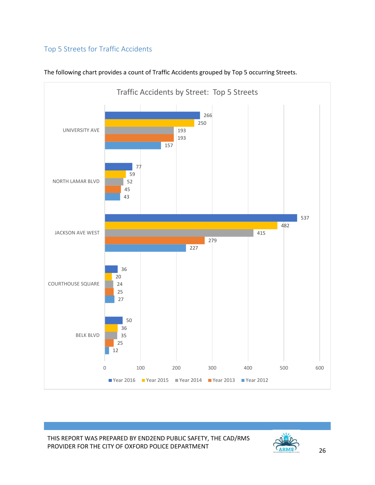# <span id="page-26-0"></span>Top 5 Streets for Traffic Accidents



#### The following chart provides a count of Traffic Accidents grouped by Top 5 occurring Streets.

THIS REPORT WAS PREPARED BY END2END PUBLIC SAFETY, THE CAD/RMS PROVIDER FOR THE CITY OF OXFORD POLICE DEPARTMENT **CARMED** 26

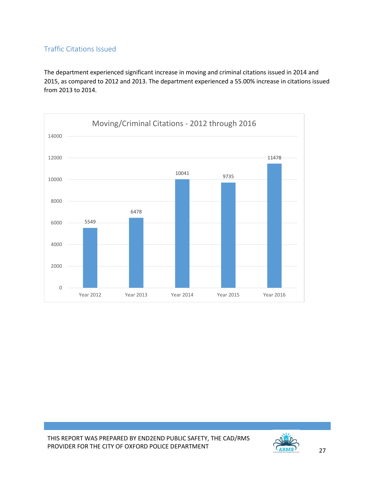## <span id="page-27-0"></span>Traffic Citations Issued

The department experienced significant increase in moving and criminal citations issued in 2014 and 2015, as compared to 2012 and 2013. The department experienced a 55.00% increase in citations issued from 2013 to 2014.



THIS REPORT WAS PREPARED BY END2END PUBLIC SAFETY, THE CAD/RMS PROVIDER FOR THE CITY OF OXFORD POLICE DEPARTMENT **CARMED** 

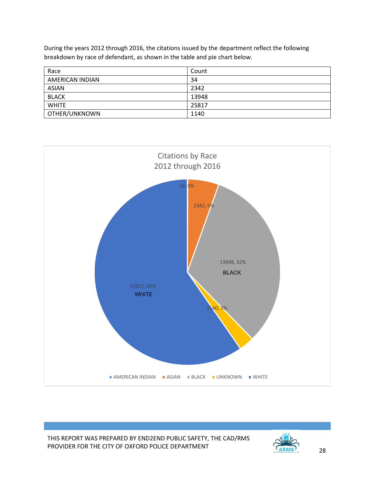During the years 2012 through 2016, the citations issued by the department reflect the following breakdown by race of defendant, as shown in the table and pie chart below.

| Race            | Count |
|-----------------|-------|
| AMERICAN INDIAN | 34    |
| <b>ASIAN</b>    | 2342  |
| <b>BLACK</b>    | 13948 |
| <b>WHITE</b>    | 25817 |
| OTHER/UNKNOWN   | 1140  |



THIS REPORT WAS PREPARED BY END2END PUBLIC SAFETY, THE CAD/RMS PROVIDER FOR THE CITY OF OXFORD POLICE DEPARTMENT **CARMS** 28

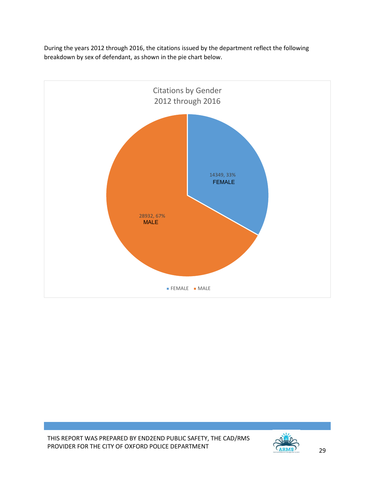During the years 2012 through 2016, the citations issued by the department reflect the following breakdown by sex of defendant, as shown in the pie chart below.



THIS REPORT WAS PREPARED BY END2END PUBLIC SAFETY, THE CAD/RMS PROVIDER FOR THE CITY OF OXFORD POLICE DEPARTMENT **CARMS** 29